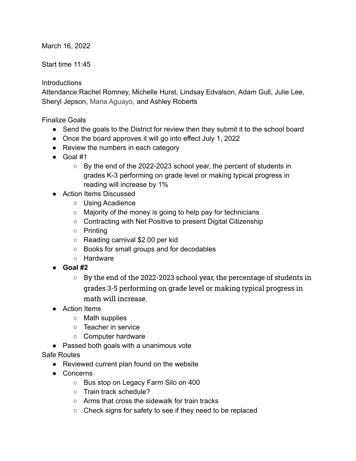March 16, 2022

Start time 11:45

## **Introductions**

Attendance:Rachel Romney, Michelle Hurst, Lindsay Edvalson, Adam Gull, Julie Lee, Sheryl Jepson, Maria Aguayo, and Ashley Roberts

Finalize Goals

- Send the goals to the District for review then they submit it to the school board
- Once the board approves it will go into effect July 1, 2022
- Review the numbers in each category
- Goal #1
	- $\circ$  By the end of the 2022-2023 school year, the percent of students in grades K-3 performing on grade level or making typical progress in reading will increase by 1%
- Action Items Discussed
	- Using Acadience
	- Majority of the money is going to help pay for technicians
	- Contracting with Net Positive to present Digital Citizenship
	- Printing
	- Reading carnival \$2.00 per kid
	- Books for small groups and for decodables
	- Hardware
- **● Goal #2**
	- $\circ$  By the end of the 2022-2023 school year, the percentage of students in grades 3-5 performing on grade level or making typical progress in math will increase.
- Action Items
	- Math supplies
	- Teacher in service
	- Computer hardware
- Passed both goals with a unanimous vote
- Safe Routes
	- Reviewed current plan found on the website
	- Concerns
		- Bus stop on Legacy Farm Silo on 400
		- Train track schedule?
		- Arms that cross the sidewalk for train tracks
		- Check signs for safety to see if they need to be replaced